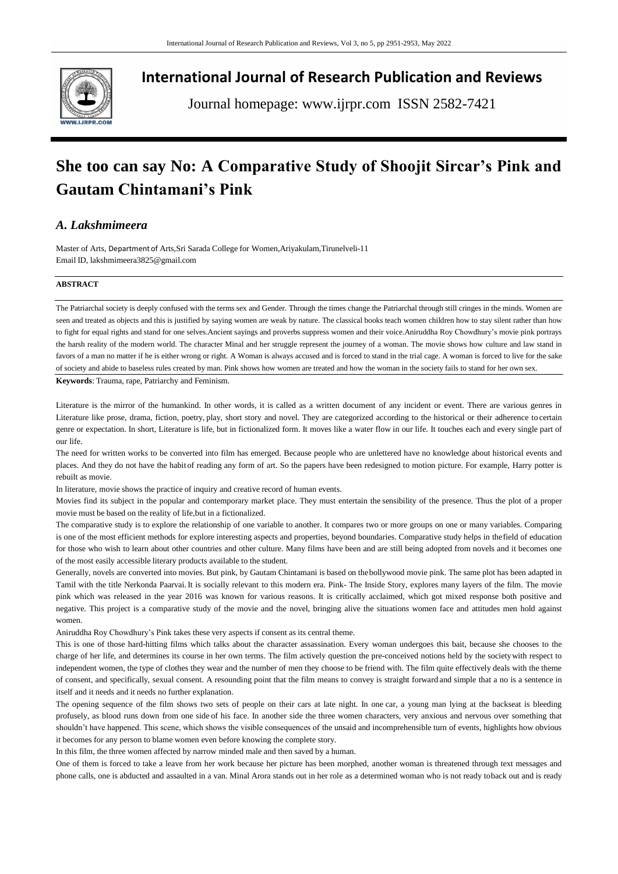

**International Journal of Research Publication and Reviews**

Journal homepage: www.ijrpr.com ISSN 2582-7421

## **She too can say No: A Comparative Study of Shoojit Sircar's Pink and Gautam Chintamani's Pink**

## *A. Lakshmimeera*

Master of Arts, Department of Arts,Sri Sarada College for Women,Ariyakulam,Tirunelveli-11 Email ID, [lakshmimeera3825@gmail.com](mailto:lakshmimeera3825@gmail.com)

## **ABSTRACT**

The Patriarchal society is deeply confused with the terms sex and Gender. Through the times change the Patriarchal through still cringes in the minds. Women are seen and treated as objects and this is justified by saying women are weak by nature. The classical books teach women children how to stay silent rather than how to fight for equal rights and stand for one selves.Ancient sayings and proverbs suppress women and their voice.Aniruddha Roy Chowdhury's movie pink portrays the harsh reality of the modern world. The character Minal and her struggle represent the journey of a woman. The movie shows how culture and law stand in favors of a man no matter if he is either wrong or right. A Woman is always accused and is forced to stand in the trial cage. A woman is forced to live for the sake of society and abide to baseless rules created by man. Pink shows how women are treated and how the woman in the society fails to stand for her own sex.

**Keywords**: Trauma, rape, Patriarchy and Feminism.

Literature is the mirror of the humankind. In other words, it is called as a written document of any incident or event. There are various genres in Literature like prose, drama, fiction, poetry, play, short story and novel. They are categorized according to the historical or their adherence to certain genre or expectation. In short, Literature is life, but in fictionalized form. It moves like a water flow in our life. It touches each and every single part of our life.

The need for written works to be converted into film has emerged. Because people who are unlettered have no knowledge about historical events and places. And they do not have the habit of reading any form of art. So the papers have been redesigned to motion picture. For example, Harry potter is rebuilt as movie.

In literature, movie shows the practice of inquiry and creative record of human events.

Movies find its subject in the popular and contemporary market place. They must entertain the sensibility of the presence. Thus the plot of a proper movie must be based on the reality of life,but in a fictionalized.

The comparative study is to explore the relationship of one variable to another. It compares two or more groups on one or many variables. Comparing is one of the most efficient methods for explore interesting aspects and properties, beyond boundaries. Comparative study helps in thefield of education for those who wish to learn about other countries and other culture. Many films have been and are still being adopted from novels and it becomes one of the most easily accessible literary products available to the student.

Generally, novels are converted into movies. But pink, by Gautam Chintamani is based on thebollywood movie pink. The same plot has been adapted in Tamil with the title Nerkonda Paarvai. It is socially relevant to this modern era. Pink- The Inside Story, explores many layers of the film. The movie pink which was released in the year 2016 was known for various reasons. It is critically acclaimed, which got mixed response both positive and negative. This project is a comparative study of the movie and the novel, bringing alive the situations women face and attitudes men hold against women

Aniruddha Roy Chowdhury's Pink takes these very aspects if consent as its central theme.

This is one of those hard-hitting films which talks about the character assassination. Every woman undergoes this bait, because she chooses to the charge of her life, and determines its course in her own terms. The film actively question the pre-conceived notions held by the societywith respect to independent women, the type of clothes they wear and the number of men they choose to be friend with. The film quite effectively deals with the theme of consent, and specifically, sexual consent. A resounding point that the film means to convey is straight forward and simple that a no is a sentence in itself and it needs and it needs no further explanation.

The opening sequence of the film shows two sets of people on their cars at late night. In one car, a young man lying at the backseat is bleeding profusely, as blood runs down from one side of his face. In another side the three women characters, very anxious and nervous over something that shouldn't have happened. This scene, which shows the visible consequences of the unsaid and incomprehensible turn of events, highlights how obvious it becomes for any person to blame women even before knowing the complete story.

In this film, the three women affected by narrow minded male and then saved by a human.

One of them is forced to take a leave from her work because her picture has been morphed, another woman is threatened through text messages and phone calls, one is abducted and assaulted in a van. Minal Arora stands out in her role as a determined woman who is not ready toback out and is ready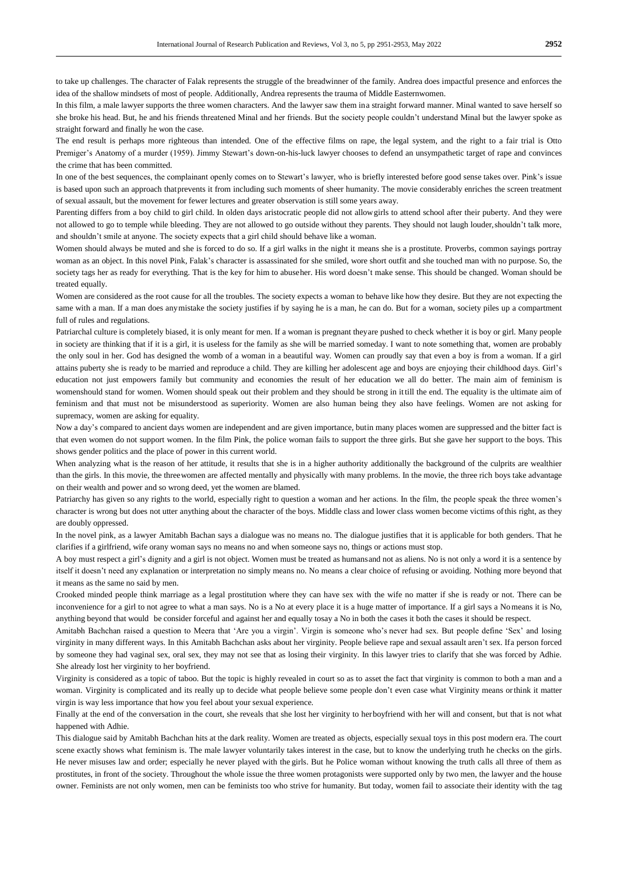to take up challenges. The character of Falak represents the struggle of the breadwinner of the family. Andrea does impactful presence and enforces the idea of the shallow mindsets of most of people. Additionally, Andrea represents the trauma of Middle Easternwomen.

In this film, a male lawyer supports the three women characters. And the lawyer saw them ina straight forward manner. Minal wanted to save herself so she broke his head. But, he and his friends threatened Minal and her friends. But the society people couldn't understand Minal but the lawyer spoke as straight forward and finally he won the case.

The end result is perhaps more righteous than intended. One of the effective films on rape, the legal system, and the right to a fair trial is Otto Premiger's Anatomy of a murder (1959). Jimmy Stewart's down-on-his-luck lawyer chooses to defend an unsympathetic target of rape and convinces the crime that has been committed.

In one of the best sequences, the complainant openly comes on to Stewart's lawyer, who is briefly interested before good sense takes over. Pink's issue is based upon such an approach thatprevents it from including such moments of sheer humanity. The movie considerably enriches the screen treatment of sexual assault, but the movement for fewer lectures and greater observation is still some years away.

Parenting differs from a boy child to girl child. In olden days aristocratic people did not allow girls to attend school after their puberty. And they were not allowed to go to temple while bleeding. They are not allowed to go outside without they parents. They should not laugh louder,shouldn't talk more, and shouldn't smile at anyone. The society expects that a girl child should behave like a woman.

Women should always be muted and she is forced to do so. If a girl walks in the night it means she is a prostitute. Proverbs, common sayings portray woman as an object. In this novel Pink, Falak's character is assassinated for she smiled, wore short outfit and she touched man with no purpose. So, the society tags her as ready for everything. That is the key for him to abuseher. His word doesn't make sense. This should be changed. Woman should be treated equally.

Women are considered as the root cause for all the troubles. The society expects a woman to behave like how they desire. But they are not expecting the same with a man. If a man does anymistake the society justifies if by saying he is a man, he can do. But for a woman, society piles up a compartment full of rules and regulations.

Patriarchal culture is completely biased, it is only meant for men. If a woman is pregnant theyare pushed to check whether it is boy or girl. Many people in society are thinking that if it is a girl, it is useless for the family as she will be married someday. I want to note something that, women are probably the only soul in her. God has designed the womb of a woman in a beautiful way. Women can proudly say that even a boy is from a woman. If a girl attains puberty she is ready to be married and reproduce a child. They are killing her adolescent age and boys are enjoying their childhood days. Girl's education not just empowers family but community and economies the result of her education we all do better. The main aim of feminism is womenshould stand for women. Women should speak out their problem and they should be strong in it till the end. The equality is the ultimate aim of feminism and that must not be misunderstood as superiority. Women are also human being they also have feelings. Women are not asking for supremacy, women are asking for equality.

Now a day's compared to ancient days women are independent and are given importance, butin many places women are suppressed and the bitter fact is that even women do not support women. In the film Pink, the police woman fails to support the three girls. But she gave her support to the boys. This shows gender politics and the place of power in this current world.

When analyzing what is the reason of her attitude, it results that she is in a higher authority additionally the background of the culprits are wealthier than the girls. In this movie, the threewomen are affected mentally and physically with many problems. In the movie, the three rich boys take advantage on their wealth and power and so wrong deed, yet the women are blamed.

Patriarchy has given so any rights to the world, especially right to question a woman and her actions. In the film, the people speak the three women's character is wrong but does not utter anything about the character of the boys. Middle class and lower class women become victims ofthis right, as they are doubly oppressed.

In the novel pink, as a lawyer Amitabh Bachan says a dialogue was no means no. The dialogue justifies that it is applicable for both genders. That he clarifies if a girlfriend, wife orany woman says no means no and when someone says no, things or actions must stop.

A boy must respect a girl's dignity and a girl is not object. Women must be treated as humansand not as aliens. No is not only a word it is a sentence by itself it doesn't need any explanation or interpretation no simply means no. No means a clear choice of refusing or avoiding. Nothing more beyond that it means as the same no said by men.

Crooked minded people think marriage as a legal prostitution where they can have sex with the wife no matter if she is ready or not. There can be inconvenience for a girl to not agree to what a man says. No is a No at every place it is a huge matter of importance. If a girl says a Nomeans it is No, anything beyond that would be consider forceful and against her and equally tosay a No in both the cases it both the cases it should be respect.

Amitabh Bachchan raised a question to Meera that 'Are you a virgin'. Virgin is someone who's never had sex. But people define 'Sex' and losing virginity in many different ways. In this Amitabh Bachchan asks about her virginity. People believe rape and sexual assault aren't sex. Ifa person forced by someone they had vaginal sex, oral sex, they may not see that as losing their virginity. In this lawyer tries to clarify that she was forced by Adhie. She already lost her virginity to her boyfriend.

Virginity is considered as a topic of taboo. But the topic is highly revealed in court so as to asset the fact that virginity is common to both a man and a woman. Virginity is complicated and its really up to decide what people believe some people don't even case what Virginity means orthink it matter virgin is way less importance that how you feel about your sexual experience.

Finally at the end of the conversation in the court, she reveals that she lost her virginity to herboyfriend with her will and consent, but that is not what happened with Adhie.

This dialogue said by Amitabh Bachchan hits at the dark reality. Women are treated as objects, especially sexual toys in this post modern era. The court scene exactly shows what feminism is. The male lawyer voluntarily takes interest in the case, but to know the underlying truth he checks on the girls. He never misuses law and order; especially he never played with the girls. But he Police woman without knowing the truth calls all three of them as prostitutes, in front of the society. Throughout the whole issue the three women protagonists were supported only by two men, the lawyer and the house owner. Feminists are not only women, men can be feminists too who strive for humanity. But today, women fail to associate their identity with the tag